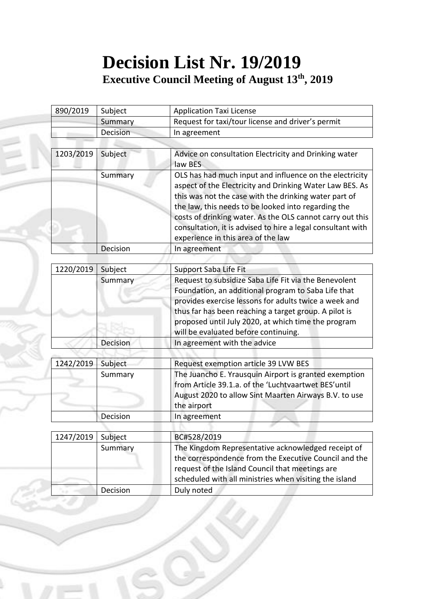## **Decision List Nr. 19/2019 Executive Council Meeting of August 13 th, 2019**

| 890/2019  | Subject  | <b>Application Taxi License</b>                                                                                                                                                                                                                                                                                                                                                                       |
|-----------|----------|-------------------------------------------------------------------------------------------------------------------------------------------------------------------------------------------------------------------------------------------------------------------------------------------------------------------------------------------------------------------------------------------------------|
|           | Summary  | Request for taxi/tour license and driver's permit                                                                                                                                                                                                                                                                                                                                                     |
|           | Decision | In agreement                                                                                                                                                                                                                                                                                                                                                                                          |
|           |          |                                                                                                                                                                                                                                                                                                                                                                                                       |
| 1203/2019 | Subject  | Advice on consultation Electricity and Drinking water<br>law BES                                                                                                                                                                                                                                                                                                                                      |
|           | Summary  | OLS has had much input and influence on the electricity<br>aspect of the Electricity and Drinking Water Law BES. As<br>this was not the case with the drinking water part of<br>the law, this needs to be looked into regarding the<br>costs of drinking water. As the OLS cannot carry out this<br>consultation, it is advised to hire a legal consultant with<br>experience in this area of the law |
|           | Decision | In agreement                                                                                                                                                                                                                                                                                                                                                                                          |
|           |          |                                                                                                                                                                                                                                                                                                                                                                                                       |
| 1220/2019 | Subject  | Support Saba Life Fit                                                                                                                                                                                                                                                                                                                                                                                 |
|           | Summary  | Request to subsidize Saba Life Fit via the Benevolent<br>Foundation, an additional program to Saba Life that<br>provides exercise lessons for adults twice a week and<br>thus far has been reaching a target group. A pilot is                                                                                                                                                                        |
|           |          | proposed until July 2020, at which time the program<br>will be evaluated before continuing.                                                                                                                                                                                                                                                                                                           |
|           | Decision | In agreement with the advice                                                                                                                                                                                                                                                                                                                                                                          |
|           |          |                                                                                                                                                                                                                                                                                                                                                                                                       |
| 1242/2019 | Subject  | Request exemption article 39 LVW BES                                                                                                                                                                                                                                                                                                                                                                  |
|           | Summary  | The Juancho E. Yrausquin Airport is granted exemption<br>from Article 39.1.a. of the 'Luchtvaartwet BES'until<br>August 2020 to allow Sint Maarten Airways B.V. to use<br>the airport                                                                                                                                                                                                                 |
|           | Decision | In agreement                                                                                                                                                                                                                                                                                                                                                                                          |
|           |          |                                                                                                                                                                                                                                                                                                                                                                                                       |
| 1247/2019 | Subject  | BC#528/2019                                                                                                                                                                                                                                                                                                                                                                                           |
|           | Summary  | The Kingdom Representative acknowledged receipt of<br>the correspondence from the Executive Council and the<br>request of the Island Council that meetings are<br>scheduled with all ministries when visiting the island                                                                                                                                                                              |
|           | Decision | Duly noted                                                                                                                                                                                                                                                                                                                                                                                            |